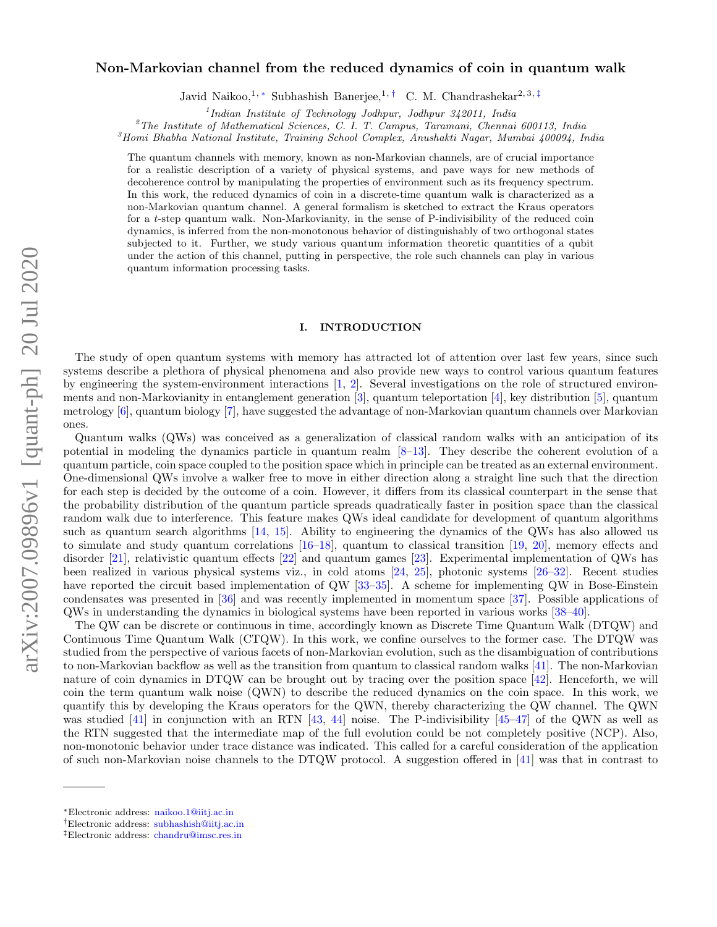# arXiv:2007.09896v1 [quant-ph] 20 Jul 2020 arXiv:2007.09896v1 [quant-ph] 20 Jul 2020

# Non-Markovian channel from the reduced dynamics of coin in quantum walk

Javid Naikoo,<sup>1, \*</sup> Subhashish Banerjee,<sup>1,†</sup> C. M. Chandrashekar<sup>2, 3, ‡</sup>

1 *Indian Institute of Technology Jodhpur, Jodhpur 342011, India*

<sup>2</sup>*The Institute of Mathematical Sciences, C. I. T. Campus, Taramani, Chennai 600113, India*

<sup>3</sup>*Homi Bhabha National Institute, Training School Complex, Anushakti Nagar, Mumbai 400094, India*

The quantum channels with memory, known as non-Markovian channels, are of crucial importance for a realistic description of a variety of physical systems, and pave ways for new methods of decoherence control by manipulating the properties of environment such as its frequency spectrum. In this work, the reduced dynamics of coin in a discrete-time quantum walk is characterized as a non-Markovian quantum channel. A general formalism is sketched to extract the Kraus operators for a t-step quantum walk. Non-Markovianity, in the sense of P-indivisibility of the reduced coin dynamics, is inferred from the non-monotonous behavior of distinguishably of two orthogonal states subjected to it. Further, we study various quantum information theoretic quantities of a qubit under the action of this channel, putting in perspective, the role such channels can play in various quantum information processing tasks.

# I. INTRODUCTION

The study of open quantum systems with memory has attracted lot of attention over last few years, since such systems describe a plethora of physical phenomena and also provide new ways to control various quantum features by engineering the system-environment interactions [1, 2]. Several investigations on the role of structured environments and non-Markovianity in entanglement generation [3], quantum teleportation [4], key distribution [5], quantum metrology [6], quantum biology [7], have suggested the advantage of non-Markovian quantum channels over Markovian ones.

Quantum walks (QWs) was conceived as a generalization of classical random walks with an anticipation of its potential in modeling the dynamics particle in quantum realm [8–13]. They describe the coherent evolution of a quantum particle, coin space coupled to the position space which in principle can be treated as an external environment. One-dimensional QWs involve a walker free to move in either direction along a straight line such that the direction for each step is decided by the outcome of a coin. However, it differs from its classical counterpart in the sense that the probability distribution of the quantum particle spreads quadratically faster in position space than the classical random walk due to interference. This feature makes QWs ideal candidate for development of quantum algorithms such as quantum search algorithms [14, 15]. Ability to engineering the dynamics of the QWs has also allowed us to simulate and study quantum correlations [16–18], quantum to classical transition [19, 20], memory effects and disorder [21], relativistic quantum effects [22] and quantum games [23]. Experimental implementation of QWs has been realized in various physical systems viz., in cold atoms [24, 25], photonic systems [26–32]. Recent studies have reported the circuit based implementation of QW [33–35]. A scheme for implementing QW in Bose-Einstein condensates was presented in [36] and was recently implemented in momentum space [37]. Possible applications of QWs in understanding the dynamics in biological systems have been reported in various works [38–40].

The QW can be discrete or continuous in time, accordingly known as Discrete Time Quantum Walk (DTQW) and Continuous Time Quantum Walk (CTQW). In this work, we confine ourselves to the former case. The DTQW was studied from the perspective of various facets of non-Markovian evolution, such as the disambiguation of contributions to non-Markovian backflow as well as the transition from quantum to classical random walks [41]. The non-Markovian nature of coin dynamics in DTQW can be brought out by tracing over the position space [42]. Henceforth, we will coin the term quantum walk noise (QWN) to describe the reduced dynamics on the coin space. In this work, we quantify this by developing the Kraus operators for the QWN, thereby characterizing the QW channel. The QWN was studied [41] in conjunction with an RTN [43, 44] noise. The P-indivisibility [45–47] of the QWN as well as the RTN suggested that the intermediate map of the full evolution could be not completely positive (NCP). Also, non-monotonic behavior under trace distance was indicated. This called for a careful consideration of the application of such non-Markovian noise channels to the DTQW protocol. A suggestion offered in [41] was that in contrast to

<sup>∗</sup>Electronic address: naikoo.1@iitj.ac.in

<sup>†</sup>Electronic address: subhashish@iitj.ac.in

<sup>‡</sup>Electronic address: chandru@imsc.res.in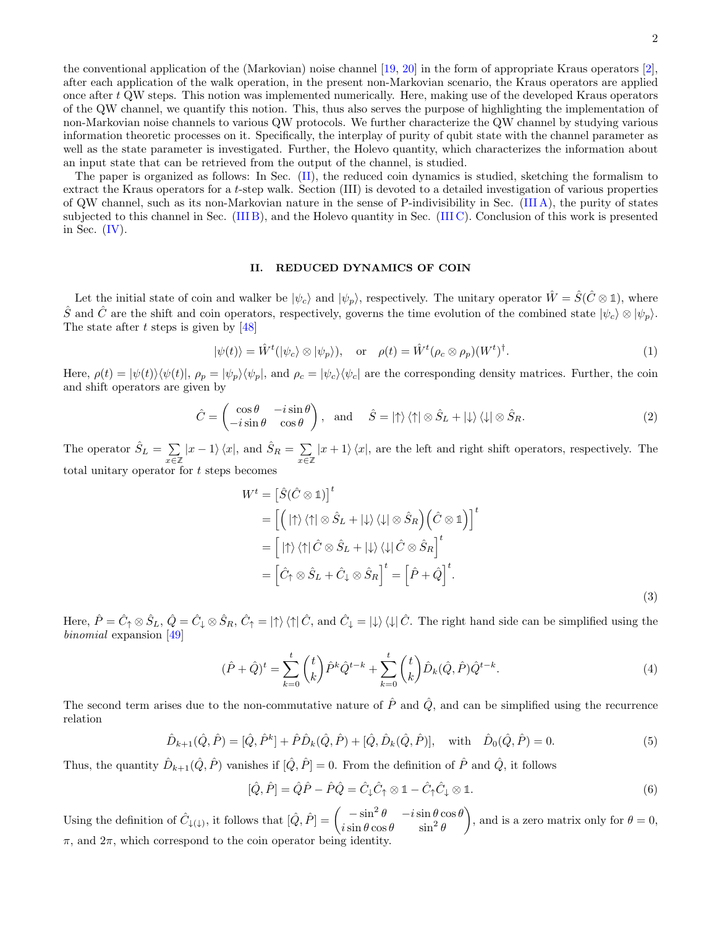the conventional application of the (Markovian) noise channel [19, 20] in the form of appropriate Kraus operators [2], after each application of the walk operation, in the present non-Markovian scenario, the Kraus operators are applied once after t QW steps. This notion was implemented numerically. Here, making use of the developed Kraus operators of the QW channel, we quantify this notion. This, thus also serves the purpose of highlighting the implementation of non-Markovian noise channels to various QW protocols. We further characterize the QW channel by studying various information theoretic processes on it. Specifically, the interplay of purity of qubit state with the channel parameter as well as the state parameter is investigated. Further, the Holevo quantity, which characterizes the information about an input state that can be retrieved from the output of the channel, is studied.

The paper is organized as follows: In Sec. (II), the reduced coin dynamics is studied, sketching the formalism to extract the Kraus operators for a t-step walk. Section (III) is devoted to a detailed investigation of various properties of QW channel, such as its non-Markovian nature in the sense of P-indivisibility in Sec. (III A), the purity of states subjected to this channel in Sec. (III B), and the Holevo quantity in Sec. (III C). Conclusion of this work is presented in Sec.  $(IV)$ .

# II. REDUCED DYNAMICS OF COIN

Let the initial state of coin and walker be  $|\psi_c\rangle$  and  $|\psi_p\rangle$ , respectively. The unitary operator  $\hat{W} = \hat{S}(\hat{C} \otimes \mathbb{1})$ , where S and C are the shift and coin operators, respectively, governs the time evolution of the combined state  $|\psi_c\rangle \otimes |\psi_p\rangle$ . The state after t steps is given by  $[48]$ 

$$
|\psi(t)\rangle = \hat{W}^t(|\psi_c\rangle \otimes |\psi_p\rangle), \quad \text{or} \quad \rho(t) = \hat{W}^t(\rho_c \otimes \rho_p)(W^t)^{\dagger}.
$$
 (1)

Here,  $\rho(t) = |\psi(t)\rangle\langle\psi(t)|$ ,  $\rho_p = |\psi_p\rangle\langle\psi_p|$ , and  $\rho_c = |\psi_c\rangle\langle\psi_c|$  are the corresponding density matrices. Further, the coin and shift operators are given by

$$
\hat{C} = \begin{pmatrix} \cos \theta & -i \sin \theta \\ -i \sin \theta & \cos \theta \end{pmatrix}, \text{ and } \hat{S} = |\uparrow\rangle \langle \uparrow| \otimes \hat{S}_L + |\downarrow\rangle \langle \downarrow| \otimes \hat{S}_R.
$$
 (2)

The operator  $\hat{S}_L = \sum$  $\sum_{x \in \mathbb{Z}} |x - 1\rangle \langle x|$ , and  $\hat{S}_R = \sum_{x \in \mathbb{Z}}$ x∈**Z**  $|x + 1\rangle\langle x|$ , are the left and right shift operators, respectively. The total unitary operator for  $t$  steps becomes

$$
W^{t} = \left[\hat{S}(\hat{C} \otimes \mathbb{1})\right]^{t}
$$
  
\n
$$
= \left[\left(|\uparrow\rangle\langle\uparrow|\otimes \hat{S}_{L} + |\downarrow\rangle\langle\downarrow|\otimes \hat{S}_{R}\right)\left(\hat{C} \otimes \mathbb{1}\right)\right]^{t}
$$
  
\n
$$
= \left[|\uparrow\rangle\langle\uparrow|\hat{C} \otimes \hat{S}_{L} + |\downarrow\rangle\langle\downarrow|\hat{C} \otimes \hat{S}_{R}\right]^{t}
$$
  
\n
$$
= \left[\hat{C}_{\uparrow} \otimes \hat{S}_{L} + \hat{C}_{\downarrow} \otimes \hat{S}_{R}\right]^{t} = \left[\hat{P} + \hat{Q}\right]^{t}.
$$
  
\n(3)

Here,  $\hat{P} = \hat{C}_\uparrow \otimes \hat{S}_L$ ,  $\hat{Q} = \hat{C}_\downarrow \otimes \hat{S}_R$ ,  $\hat{C}_\uparrow = \ket{\uparrow}\bra{\uparrow}\hat{C}$ , and  $\hat{C}_\downarrow = \ket{\downarrow}\bra{\downarrow}\hat{C}$ . The right hand side can be simplified using the binomial expansion [49]

$$
(\hat{P} + \hat{Q})^t = \sum_{k=0}^t \binom{t}{k} \hat{P}^k \hat{Q}^{t-k} + \sum_{k=0}^t \binom{t}{k} \hat{D}_k (\hat{Q}, \hat{P}) \hat{Q}^{t-k}.
$$
\n(4)

The second term arises due to the non-commutative nature of  $\hat{P}$  and  $\hat{Q}$ , and can be simplified using the recurrence relation

$$
\hat{D}_{k+1}(\hat{Q}, \hat{P}) = [\hat{Q}, \hat{P}^k] + \hat{P}\hat{D}_k(\hat{Q}, \hat{P}) + [\hat{Q}, \hat{D}_k(\hat{Q}, \hat{P})], \text{ with } \hat{D}_0(\hat{Q}, \hat{P}) = 0.
$$
\n(5)

Thus, the quantity  $\hat{D}_{k+1}(\hat{Q}, \hat{P})$  vanishes if  $[\hat{Q}, \hat{P}] = 0$ . From the definition of  $\hat{P}$  and  $\hat{Q}$ , it follows

$$
[\hat{Q}, \hat{P}] = \hat{Q}\hat{P} - \hat{P}\hat{Q} = \hat{C}_{\downarrow}\hat{C}_{\uparrow} \otimes \mathbb{1} - \hat{C}_{\uparrow}\hat{C}_{\downarrow} \otimes \mathbb{1}.
$$
\n(6)

Using the definition of  $\hat{C}_{\downarrow(\downarrow)}$ , it follows that  $[\hat{Q}, \hat{P}] = \begin{pmatrix} -\sin^2 \theta & -i \sin \theta \cos \theta \\ i \sin \theta \cos \theta & \sin^2 \theta \end{pmatrix}$  $i\sin\theta\cos\theta$   $\sin^2\theta$ ), and is a zero matrix only for  $\theta = 0$ ,  $\pi$ , and  $2\pi$ , which correspond to the coin operator being identity.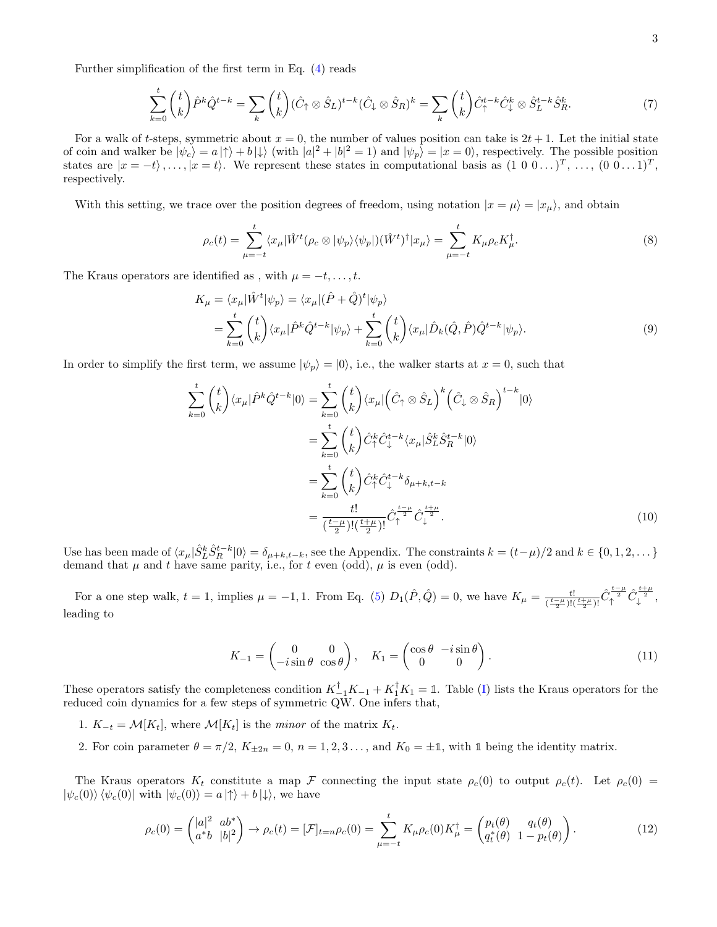Further simplification of the first term in Eq. (4) reads

$$
\sum_{k=0}^{t} \binom{t}{k} \hat{P}^{k} \hat{Q}^{t-k} = \sum_{k} \binom{t}{k} (\hat{C}_{\uparrow} \otimes \hat{S}_{L})^{t-k} (\hat{C}_{\downarrow} \otimes \hat{S}_{R})^{k} = \sum_{k} \binom{t}{k} \hat{C}_{\uparrow}^{t-k} \hat{C}_{\downarrow}^{k} \otimes \hat{S}_{L}^{t-k} \hat{S}_{R}^{k}.
$$
\n(7)

For a walk of t-steps, symmetric about  $x = 0$ , the number of values position can take is  $2t + 1$ . Let the initial state of coin and walker be  $|\psi_c\rangle = a |\uparrow\rangle + b |\downarrow\rangle$  (with  $|a|^2 + |b|^2 = 1$ ) and  $|\psi_p\rangle = |x = 0\rangle$ , respectively. The possible position states are  $|x = -t\rangle, \ldots, |x = t\rangle$ . We represent these states in computational basis as  $(1\ 0\ 0\ldots)^T, \ldots, (0\ 0\ldots1)^T$ , respectively.

With this setting, we trace over the position degrees of freedom, using notation  $|x = \mu\rangle = |x_{\mu}\rangle$ , and obtain

$$
\rho_c(t) = \sum_{\mu=-t}^t \langle x_\mu | \hat{W}^t (\rho_c \otimes |\psi_p\rangle \langle \psi_p|) (\hat{W}^t)^\dagger | x_\mu \rangle = \sum_{\mu=-t}^t K_\mu \rho_c K_\mu^\dagger.
$$
 (8)

The Kraus operators are identified as , with  $\mu = -t, \ldots, t$ .

$$
K_{\mu} = \langle x_{\mu} | \hat{W}^{t} | \psi_{p} \rangle = \langle x_{\mu} | (\hat{P} + \hat{Q})^{t} | \psi_{p} \rangle
$$
  
= 
$$
\sum_{k=0}^{t} {t \choose k} \langle x_{\mu} | \hat{P}^{k} \hat{Q}^{t-k} | \psi_{p} \rangle + \sum_{k=0}^{t} {t \choose k} \langle x_{\mu} | \hat{D}_{k} (\hat{Q}, \hat{P}) \hat{Q}^{t-k} | \psi_{p} \rangle.
$$
 (9)

In order to simplify the first term, we assume  $|\psi_p\rangle = |0\rangle$ , i.e., the walker starts at  $x = 0$ , such that

$$
\sum_{k=0}^{t} \binom{t}{k} \langle x_{\mu} | \hat{P}^{k} \hat{Q}^{t-k} | 0 \rangle = \sum_{k=0}^{t} \binom{t}{k} \langle x_{\mu} | \left( \hat{C}_{\uparrow} \otimes \hat{S}_{L} \right)^{k} \left( \hat{C}_{\downarrow} \otimes \hat{S}_{R} \right)^{t-k} | 0 \rangle
$$

$$
= \sum_{k=0}^{t} \binom{t}{k} \hat{C}_{\uparrow}^{k} \hat{C}_{\downarrow}^{t-k} \langle x_{\mu} | \hat{S}_{L}^{k} \hat{S}_{R}^{t-k} | 0 \rangle
$$

$$
= \sum_{k=0}^{t} \binom{t}{k} \hat{C}_{\uparrow}^{k} \hat{C}_{\downarrow}^{t-k} \delta_{\mu+k,t-k}
$$

$$
= \frac{t!}{(\frac{t-\mu}{2})!(\frac{t+\mu}{2})!} \hat{C}_{\uparrow}^{\frac{t-\mu}{2}} \hat{C}_{\downarrow}^{\frac{t+\mu}{2}}.
$$
(10)

Use has been made of  $\langle x_\mu | \hat{S}_L^k \hat{S}_R^{t-k} | 0 \rangle = \delta_{\mu+k,t-k}$ , see the Appendix. The constraints  $k = (t-\mu)/2$  and  $k \in \{0, 1, 2, \dots\}$ demand that  $\mu$  and t have same parity, i.e., for t even (odd),  $\mu$  is even (odd).

For a one step walk,  $t = 1$ , implies  $\mu = -1, 1$ . From Eq. (5)  $D_1(\hat{P}, \hat{Q}) = 0$ , we have  $K_{\mu} = \frac{t!}{(t-\mu)(t-\mu)}$  $\frac{t!}{(\frac{t-\mu}{2})!(\frac{t+\mu}{2})!}\hat{C}_{\uparrow}^{\frac{t-\mu}{2}}\hat{C}_{\downarrow}^{\frac{t+\mu}{2}},$ leading to

$$
K_{-1} = \begin{pmatrix} 0 & 0 \\ -i\sin\theta & \cos\theta \end{pmatrix}, \quad K_1 = \begin{pmatrix} \cos\theta & -i\sin\theta \\ 0 & 0 \end{pmatrix}.
$$
 (11)

These operators satisfy the completeness condition  $K_{-1}^{\dagger}K_{-1} + K_{1}^{\dagger}K_{1} = \mathbb{1}$ . Table (I) lists the Kraus operators for the reduced coin dynamics for a few steps of symmetric QW. One infers that,

- 1.  $K_{-t} = \mathcal{M}[K_t]$ , where  $\mathcal{M}[K_t]$  is the minor of the matrix  $K_t$ .
- 2. For coin parameter  $\theta = \pi/2$ ,  $K_{\pm 2n} = 0$ ,  $n = 1, 2, 3, \ldots$ , and  $K_0 = \pm \mathbb{1}$ , with  $\mathbb{1}$  being the identity matrix.

The Kraus operators  $K_t$  constitute a map F connecting the input state  $\rho_c(0)$  to output  $\rho_c(t)$ . Let  $\rho_c(0)$  =  $|\psi_c(0)\rangle \langle \psi_c(0)|$  with  $|\psi_c(0)\rangle = a |\uparrow\rangle + b |\downarrow\rangle$ , we have

$$
\rho_c(0) = \begin{pmatrix} |a|^2 & ab^* \\ a^*b & |b|^2 \end{pmatrix} \to \rho_c(t) = [\mathcal{F}]_{t=n}\rho_c(0) = \sum_{\mu=-t}^t K_{\mu}\rho_c(0)K_{\mu}^{\dagger} = \begin{pmatrix} p_t(\theta) & q_t(\theta) \\ q_t^*(\theta) & 1 - p_t(\theta) \end{pmatrix}.
$$
\n(12)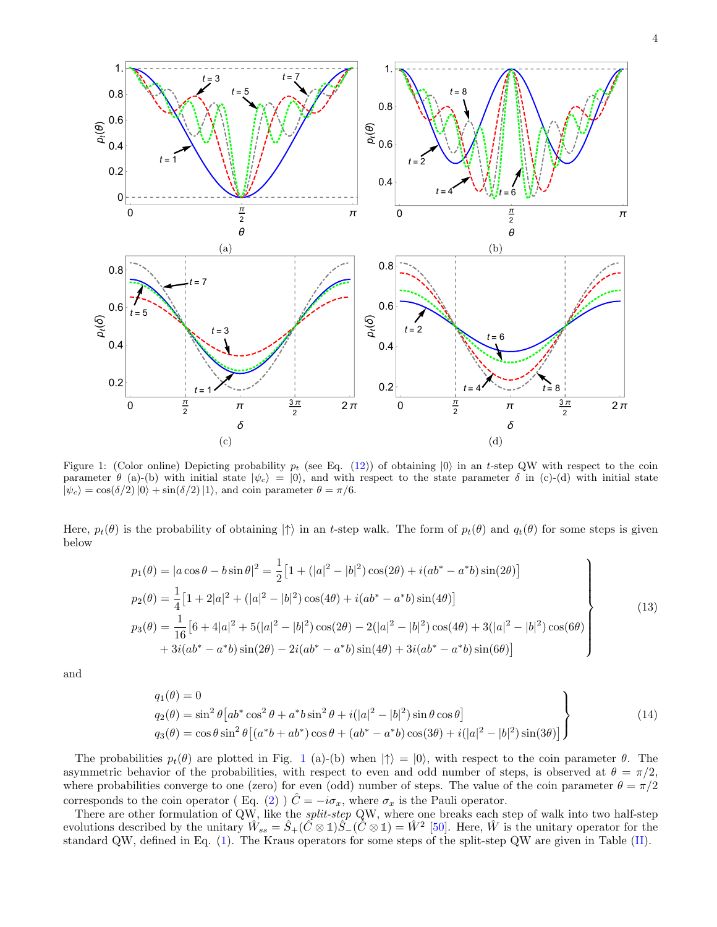



1.

Figure 1: (Color online) Depicting probability  $p_t$  (see Eq. (12)) of obtaining  $|0\rangle$  in an t-step QW with respect to the coin parameter  $\theta$  (a)-(b) with initial state  $|\psi_c\rangle = |0\rangle$ , and with respect to the state parameter  $\delta$  in (c)-(d) with initial state  $|\psi_c\rangle = \cos(\delta/2)|0\rangle + \sin(\delta/2)|1\rangle$ , and coin parameter  $\theta = \pi/6$ .

Here,  $p_t(\theta)$  is the probability of obtaining  $|\uparrow\rangle$  in an t-step walk. The form of  $p_t(\theta)$  and  $q_t(\theta)$  for some steps is given below

$$
p_1(\theta) = |a\cos\theta - b\sin\theta|^2 = \frac{1}{2} \left[ 1 + (|a|^2 - |b|^2)\cos(2\theta) + i(ab^* - a^*b)\sin(2\theta) \right]
$$
  
\n
$$
p_2(\theta) = \frac{1}{4} \left[ 1 + 2|a|^2 + (|a|^2 - |b|^2)\cos(4\theta) + i(ab^* - a^*b)\sin(4\theta) \right]
$$
  
\n
$$
p_3(\theta) = \frac{1}{16} \left[ 6 + 4|a|^2 + 5(|a|^2 - |b|^2)\cos(2\theta) - 2(|a|^2 - |b|^2)\cos(4\theta) + 3(|a|^2 - |b|^2)\cos(6\theta) + 3i(ab^* - a^*b)\sin(2\theta) - 2i(ab^* - a^*b)\sin(4\theta) + 3i(ab^* - a^*b)\sin(6\theta) \right]
$$
  
\n(13)

and

1.

$$
q_1(\theta) = 0
$$
  
\n
$$
q_2(\theta) = \sin^2 \theta \left[ ab^* \cos^2 \theta + a^* b \sin^2 \theta + i(|a|^2 - |b|^2) \sin \theta \cos \theta \right]
$$
  
\n
$$
q_3(\theta) = \cos \theta \sin^2 \theta \left[ (a^* b + ab^*) \cos \theta + (ab^* - a^* b) \cos(3\theta) + i(|a|^2 - |b|^2) \sin(3\theta) \right]
$$
\n(14)

The probabilities  $p_t(\theta)$  are plotted in Fig. 1 (a)-(b) when  $|\uparrow\rangle = |0\rangle$ , with respect to the coin parameter  $\theta$ . The asymmetric behavior of the probabilities, with respect to even and odd number of steps, is observed at  $\theta = \pi/2$ , where probabilities converge to one (zero) for even (odd) number of steps. The value of the coin parameter  $\theta = \pi/2$ corresponds to the coin operator (Eq. (2) )  $\hat{C} = -i\sigma_x$ , where  $\sigma_x$  is the Pauli operator.

There are other formulation of QW, like the *split-step* QW, where one breaks each step of walk into two half-step evolutions described by the unitary  $\hat{W}_{ss} = \hat{S}_+(\hat{C} \otimes \mathbb{1})\hat{S}_-(\hat{C} \otimes \mathbb{1}) = \hat{W}^2$  [50]. Here,  $\hat{W}$  is the unitary operator for the standard QW, defined in Eq. (1). The Kraus operators for some steps of the split-step QW are given in Table (II).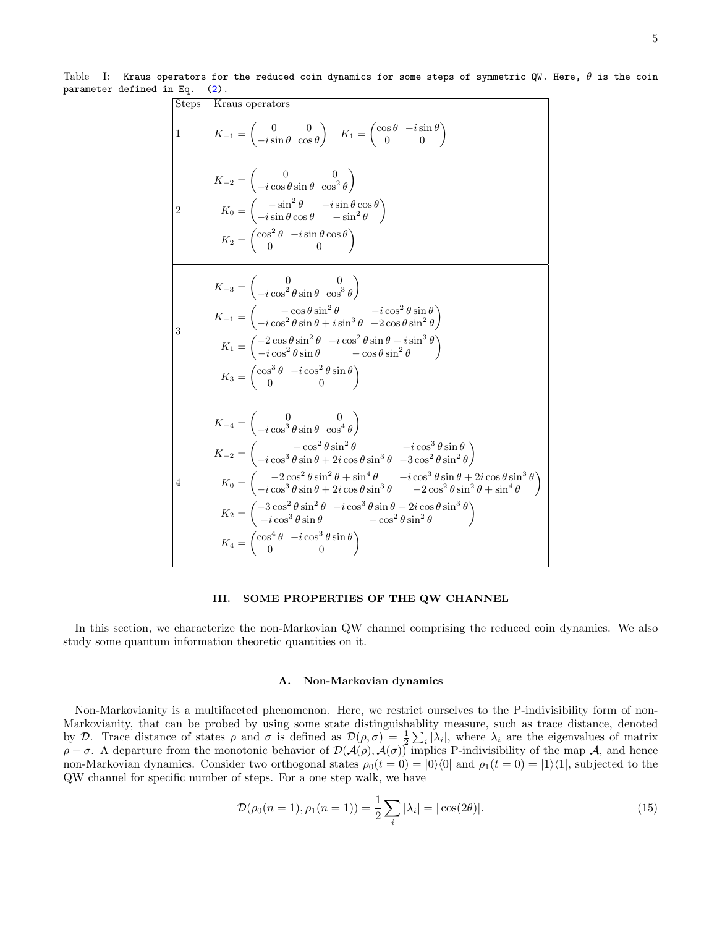Table I: Kraus operators for the reduced coin dynamics for some steps of symmetric QW. Here,  $\theta$  is the coin parameter defined in Eq. (2).

| <b>Steps</b>   | Kraus operators                                                                                                                                                                                                                                                                                                                                                                                                                                                                                                                                                                                                                                                                                                                                                                           |
|----------------|-------------------------------------------------------------------------------------------------------------------------------------------------------------------------------------------------------------------------------------------------------------------------------------------------------------------------------------------------------------------------------------------------------------------------------------------------------------------------------------------------------------------------------------------------------------------------------------------------------------------------------------------------------------------------------------------------------------------------------------------------------------------------------------------|
| $\mathbf{1}$   | $K_{-1} = \begin{pmatrix} 0 & 0 \ -i\sin\theta & \cos\theta \end{pmatrix}$ $K_1 = \begin{pmatrix} \cos\theta & -i\sin\theta \ 0 & 0 \end{pmatrix}$                                                                                                                                                                                                                                                                                                                                                                                                                                                                                                                                                                                                                                        |
| $\overline{2}$ | $K_{-2} = \begin{pmatrix} 0 & 0 \\ -i\cos\theta\sin\theta & \cos^2\theta \end{pmatrix}$<br>$K_0 = \begin{pmatrix} -\sin^2 \theta & -i \sin \theta \cos \theta \\ -i \sin \theta \cos \theta & -\sin^2 \theta \end{pmatrix}$<br>$K_2 = \begin{pmatrix} \cos^2\theta & -i\sin\theta\cos\theta \\ 0 & 0 \end{pmatrix}$                                                                                                                                                                                                                                                                                                                                                                                                                                                                       |
| 3              | $K_{-3} = \begin{pmatrix} 0 & 0 \\ -i\cos^2\theta\sin\theta & \cos^3\theta \end{pmatrix}$<br>$K_{-1} = \begin{pmatrix} -\cos\theta\sin^2\theta & -i\cos^2\theta\sin\theta \\ -i\cos^2\theta\sin\theta + i\sin^3\theta & -2\cos\theta\sin^2\theta \end{pmatrix}$<br>$K_1 = \begin{pmatrix} -2\cos\theta\sin^2\theta & -i\cos^2\theta\sin\theta + i\sin^3\theta \\ -i\cos^2\theta\sin\theta & -\cos\theta\sin^2\theta \end{pmatrix}$<br>$K_3 = \begin{pmatrix} \cos^3 \theta & -i \cos^2 \theta \sin \theta \\ 0 & 0 \end{pmatrix}$                                                                                                                                                                                                                                                         |
| 4              | $K_{-4} = \begin{pmatrix} 0 & 0 \\ -i\cos^3\theta\sin\theta & \cos^4\theta \end{pmatrix}$<br>$K_{-2}=\begin{pmatrix} -\cos^2\theta\sin^2\theta & -i\cos^3\theta\sin\theta\\ -i\cos^3\theta\sin\theta+2i\cos\theta\sin^3\theta & -3\cos^2\theta\sin^2\theta \end{pmatrix}$<br>$K_0 = \begin{pmatrix} -2\cos^2\theta\sin^2\theta+\sin^4\theta & -i\cos^3\theta\sin\theta+2i\cos\theta\sin^3\theta \\ -i\cos^3\theta\sin\theta+2i\cos\theta\sin^3\theta & -2\cos^2\theta\sin^2\theta+\sin^4\theta \end{pmatrix}$<br>$K_2 = \begin{pmatrix} -3\cos^2\theta\sin^2\theta & -i\cos^3\theta\sin\theta + 2i\cos\theta\sin^3\theta \\ -i\cos^3\theta\sin\theta & -\cos^2\theta\sin^2\theta \end{pmatrix}$<br>$K_4 = \begin{pmatrix} \cos^4\theta & -i\cos^3\theta\sin\theta \\ 0 & 0 \end{pmatrix}$ |

# III. SOME PROPERTIES OF THE QW CHANNEL

In this section, we characterize the non-Markovian QW channel comprising the reduced coin dynamics. We also study some quantum information theoretic quantities on it.

### A. Non-Markovian dynamics

Non-Markovianity is a multifaceted phenomenon. Here, we restrict ourselves to the P-indivisibility form of non-Markovianity, that can be probed by using some state distinguishablity measure, such as trace distance, denoted by D. Trace distance of states  $\rho$  and  $\sigma$  is defined as  $\mathcal{D}(\rho,\sigma) = \frac{1}{2} \sum_i |\lambda_i|$ , where  $\lambda_i$  are the eigenvalues of matrix  $\rho - \sigma$ . A departure from the monotonic behavior of  $\mathcal{D}(\mathcal{A}(\rho), \mathcal{A}(\sigma))$  implies P-indivisibility of the map A, and hence non-Markovian dynamics. Consider two orthogonal states  $\rho_0(t=0) = |0\rangle\langle 0|$  and  $\rho_1(t=0) = |1\rangle\langle 1|$ , subjected to the QW channel for specific number of steps. For a one step walk, we have

$$
\mathcal{D}(\rho_0(n=1), \rho_1(n=1)) = \frac{1}{2} \sum_i |\lambda_i| = |\cos(2\theta)|. \tag{15}
$$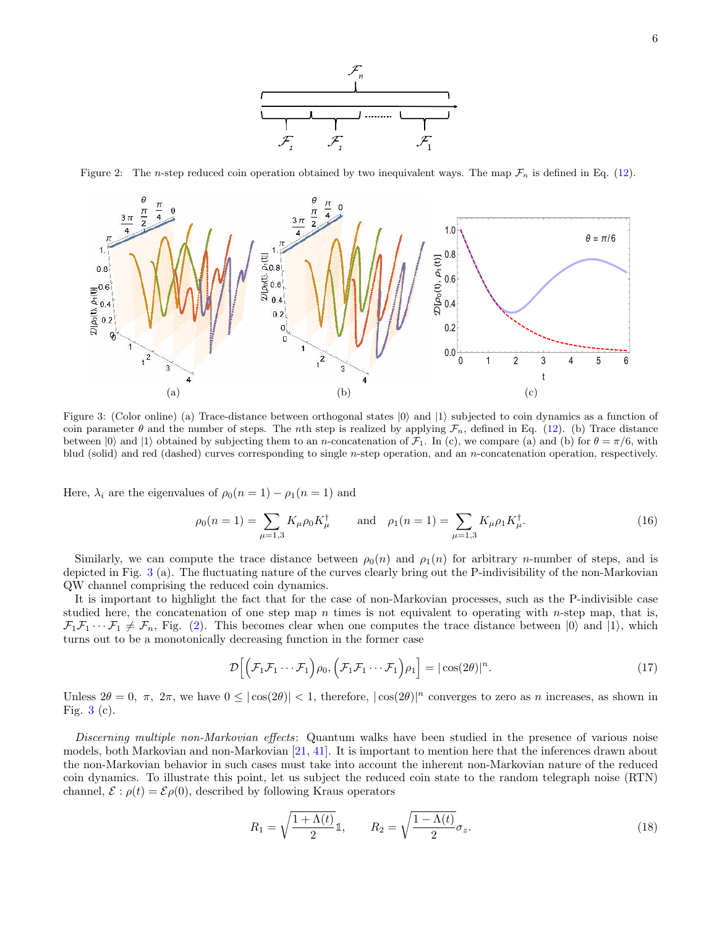

Figure 2: The n-step reduced coin operation obtained by two inequivalent ways. The map  $\mathcal{F}_n$  is defined in Eq. (12).



Figure 3: (Color online) (a) Trace-distance between orthogonal states  $|0\rangle$  and  $|1\rangle$  subjected to coin dynamics as a function of coin parameter  $\theta$  and the number of steps. The nth step is realized by applying  $\mathcal{F}_n$ , defined in Eq. (12). (b) Trace distance between  $|0\rangle$  and  $|1\rangle$  obtained by subjecting them to an *n*-concatenation of  $\mathcal{F}_1$ . In (c), we compare (a) and (b) for  $\theta = \pi/6$ , with blud (solid) and red (dashed) curves corresponding to single n-step operation, and an n-concatenation operation, respectively.

Here,  $\lambda_i$  are the eigenvalues of  $\rho_0(n=1) - \rho_1(n=1)$  and

$$
\rho_0(n=1) = \sum_{\mu=1,3} K_{\mu}\rho_0 K_{\mu}^{\dagger} \quad \text{and} \quad \rho_1(n=1) = \sum_{\mu=1,3} K_{\mu}\rho_1 K_{\mu}^{\dagger}.
$$
 (16)

Similarly, we can compute the trace distance between  $\rho_0(n)$  and  $\rho_1(n)$  for arbitrary *n*-number of steps, and is depicted in Fig. 3 (a). The fluctuating nature of the curves clearly bring out the P-indivisibility of the non-Markovian QW channel comprising the reduced coin dynamics.

It is important to highlight the fact that for the case of non-Markovian processes, such as the P-indivisible case studied here, the concatenation of one step map  $n$  times is not equivalent to operating with n-step map, that is,  $\mathcal{F}_1\mathcal{F}_1\cdots\mathcal{F}_1\neq\mathcal{F}_n$ , Fig. (2). This becomes clear when one computes the trace distance between  $|0\rangle$  and  $|1\rangle$ , which turns out to be a monotonically decreasing function in the former case

$$
\mathcal{D}\Big[\Big(\mathcal{F}_1\mathcal{F}_1\cdots\mathcal{F}_1\Big)\rho_0, \Big(\mathcal{F}_1\mathcal{F}_1\cdots\mathcal{F}_1\Big)\rho_1\Big] = |\cos(2\theta)|^n. \tag{17}
$$

Unless  $2\theta = 0$ ,  $\pi$ ,  $2\pi$ , we have  $0 \leq |\cos(2\theta)| < 1$ , therefore,  $|\cos(2\theta)|^n$  converges to zero as n increases, as shown in Fig.  $3(c)$ .

Discerning multiple non-Markovian effects: Quantum walks have been studied in the presence of various noise models, both Markovian and non-Markovian [21, 41]. It is important to mention here that the inferences drawn about the non-Markovian behavior in such cases must take into account the inherent non-Markovian nature of the reduced coin dynamics. To illustrate this point, let us subject the reduced coin state to the random telegraph noise (RTN) channel,  $\mathcal{E} : \rho(t) = \mathcal{E}\rho(0)$ , described by following Kraus operators

$$
R_1 = \sqrt{\frac{1 + \Lambda(t)}{2}} \mathbb{1}, \qquad R_2 = \sqrt{\frac{1 - \Lambda(t)}{2}} \sigma_z.
$$
\n
$$
(18)
$$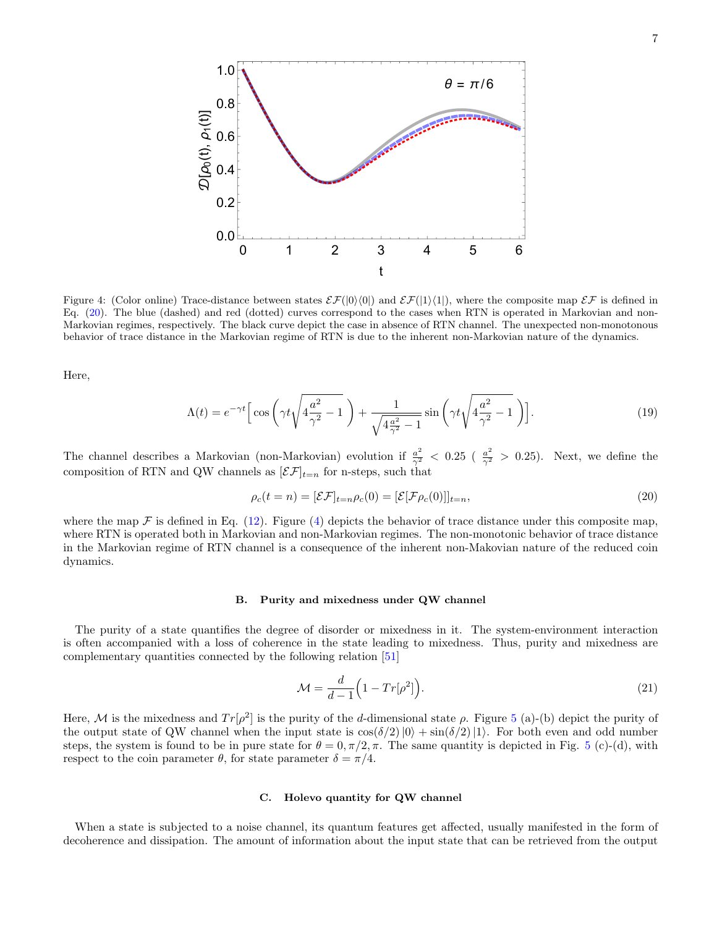

Figure 4: (Color online) Trace-distance between states  $\mathcal{E}(\vert 0\rangle\langle 0\vert)$  and  $\mathcal{E}(\vert 1\rangle\langle 1\vert)$ , where the composite map  $\mathcal{E} \mathcal{F}$  is defined in Eq. (20). The blue (dashed) and red (dotted) curves correspond to the cases when RTN is operated in Markovian and non-Markovian regimes, respectively. The black curve depict the case in absence of RTN channel. The unexpected non-monotonous behavior of trace distance in the Markovian regime of RTN is due to the inherent non-Markovian nature of the dynamics.

Here,

$$
\Lambda(t) = e^{-\gamma t} \left[ \cos \left( \gamma t \sqrt{4 \frac{a^2}{\gamma^2} - 1} \right) + \frac{1}{\sqrt{4 \frac{a^2}{\gamma^2} - 1}} \sin \left( \gamma t \sqrt{4 \frac{a^2}{\gamma^2} - 1} \right) \right].
$$
\n(19)

The channel describes a Markovian (non-Markovian) evolution if  $\frac{a^2}{\gamma^2}$  < 0.25 ( $\frac{a^2}{\gamma^2}$  > 0.25). Next, we define the composition of RTN and QW channels as  $[\mathcal{EF}]_{t=n}$  for n-steps, such that

$$
\rho_c(t = n) = [\mathcal{E}\mathcal{F}]_{t=n}\rho_c(0) = [\mathcal{E}[\mathcal{F}\rho_c(0)]]_{t=n},\tag{20}
$$

where the map  $\mathcal F$  is defined in Eq. (12). Figure (4) depicts the behavior of trace distance under this composite map, where RTN is operated both in Markovian and non-Markovian regimes. The non-monotonic behavior of trace distance in the Markovian regime of RTN channel is a consequence of the inherent non-Makovian nature of the reduced coin dynamics.

### B. Purity and mixedness under QW channel

The purity of a state quantifies the degree of disorder or mixedness in it. The system-environment interaction is often accompanied with a loss of coherence in the state leading to mixedness. Thus, purity and mixedness are complementary quantities connected by the following relation [51]

$$
\mathcal{M} = \frac{d}{d-1} \left( 1 - Tr[\rho^2] \right). \tag{21}
$$

Here, M is the mixedness and  $Tr[\rho^2]$  is the purity of the d-dimensional state  $\rho$ . Figure 5 (a)-(b) depict the purity of the output state of QW channel when the input state is  $\cos(\delta/2)|0\rangle + \sin(\delta/2)|1\rangle$ . For both even and odd number steps, the system is found to be in pure state for  $\theta = 0, \pi/2, \pi$ . The same quantity is depicted in Fig. 5 (c)-(d), with respect to the coin parameter  $\theta$ , for state parameter  $\delta = \pi/4$ .

# C. Holevo quantity for QW channel

When a state is subjected to a noise channel, its quantum features get affected, usually manifested in the form of decoherence and dissipation. The amount of information about the input state that can be retrieved from the output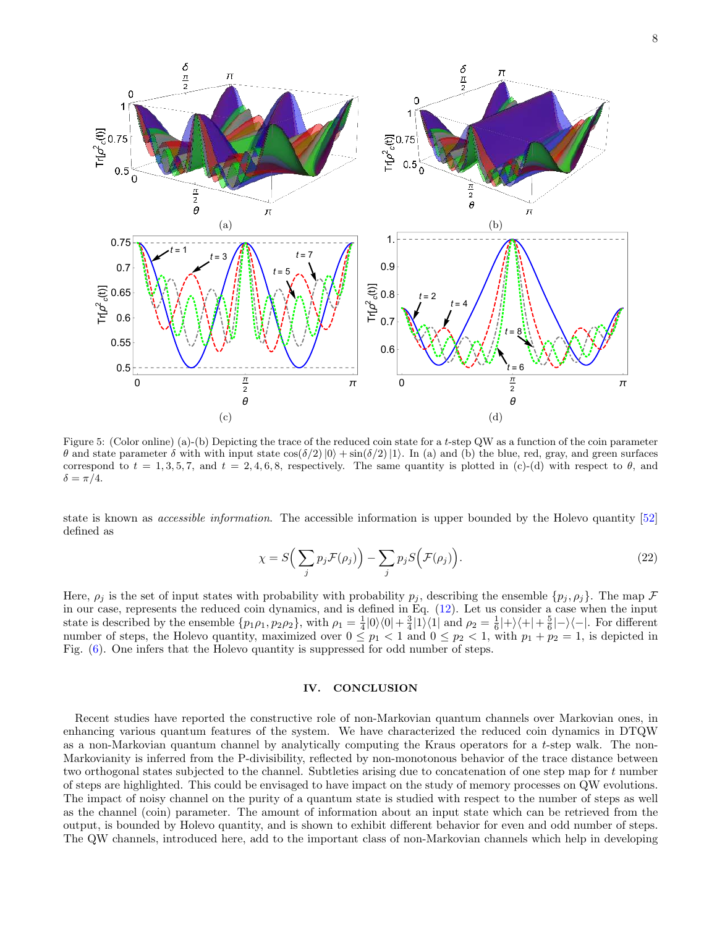

Figure 5: (Color online) (a)-(b) Depicting the trace of the reduced coin state for a t-step QW as a function of the coin parameter  $θ$  and state parameter δ with with input state  $cos(δ/2)|0\rangle + sin(δ/2)|1\rangle$ . In (a) and (b) the blue, red, gray, and green surfaces correspond to  $t = 1, 3, 5, 7$ , and  $t = 2, 4, 6, 8$ , respectively. The same quantity is plotted in (c)-(d) with respect to  $\theta$ , and  $\delta = \pi/4.$ 

state is known as accessible information. The accessible information is upper bounded by the Holevo quantity [52] defined as

$$
\chi = S\left(\sum_{j} p_j \mathcal{F}(\rho_j)\right) - \sum_{j} p_j S\left(\mathcal{F}(\rho_j)\right). \tag{22}
$$

Here,  $\rho_j$  is the set of input states with probability with probability  $p_j$ , describing the ensemble  $\{p_j, \rho_j\}$ . The map  $\mathcal F$ in our case, represents the reduced coin dynamics, and is defined in Eq. (12). Let us consider a case when the input state is described by the ensemble  $\{p_1\rho_1, p_2\rho_2\}$ , with  $\rho_1 = \frac{1}{4}|0\rangle\langle 0| + \frac{3}{4}|1\rangle\langle 1|$  and  $\rho_2 = \frac{1}{6}|+\rangle\langle +|+\frac{5}{6}|-\rangle\langle -|$ . For different number of steps, the Holevo quantity, maximized over  $0 \le p_1 < 1$  and  $0 \le p_2 < 1$ , with  $p_1 + p_2 = 1$ , is depicted in Fig. (6). One infers that the Holevo quantity is suppressed for odd number of steps.

# IV. CONCLUSION

Recent studies have reported the constructive role of non-Markovian quantum channels over Markovian ones, in enhancing various quantum features of the system. We have characterized the reduced coin dynamics in DTQW as a non-Markovian quantum channel by analytically computing the Kraus operators for a t-step walk. The non-Markovianity is inferred from the P-divisibility, reflected by non-monotonous behavior of the trace distance between two orthogonal states subjected to the channel. Subtleties arising due to concatenation of one step map for t number of steps are highlighted. This could be envisaged to have impact on the study of memory processes on QW evolutions. The impact of noisy channel on the purity of a quantum state is studied with respect to the number of steps as well as the channel (coin) parameter. The amount of information about an input state which can be retrieved from the output, is bounded by Holevo quantity, and is shown to exhibit different behavior for even and odd number of steps. The QW channels, introduced here, add to the important class of non-Markovian channels which help in developing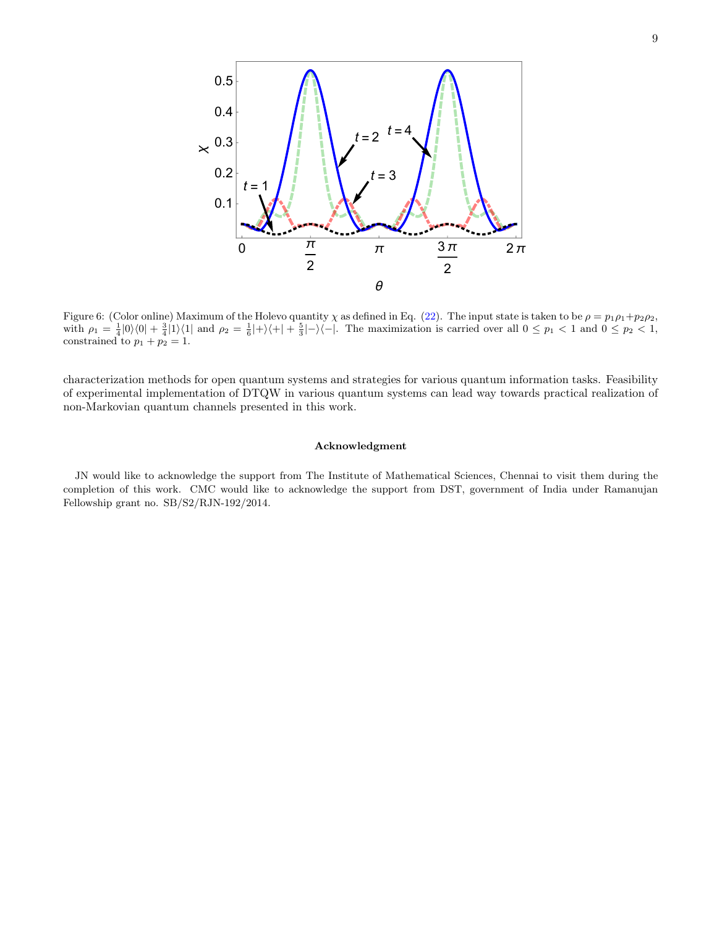

Figure 6: (Color online) Maximum of the Holevo quantity  $\chi$  as defined in Eq. (22). The input state is taken to be  $\rho = p_1 \rho_1 + p_2 \rho_2$ , with  $\rho_1 = \frac{1}{4} |0\rangle\langle 0| + \frac{3}{4} |1\rangle\langle 1|$  and  $\rho_2 = \frac{1}{6} |+\rangle\langle +|+\frac{5}{3}|-\rangle\langle -|$ . The maximization is carried over all  $0 \leq p_1 < 1$  and  $0 \leq p_2 < 1$ , constrained to  $p_1 + p_2 = 1$ .

characterization methods for open quantum systems and strategies for various quantum information tasks. Feasibility of experimental implementation of DTQW in various quantum systems can lead way towards practical realization of non-Markovian quantum channels presented in this work.

# Acknowledgment

JN would like to acknowledge the support from The Institute of Mathematical Sciences, Chennai to visit them during the completion of this work. CMC would like to acknowledge the support from DST, government of India under Ramanujan Fellowship grant no. SB/S2/RJN-192/2014.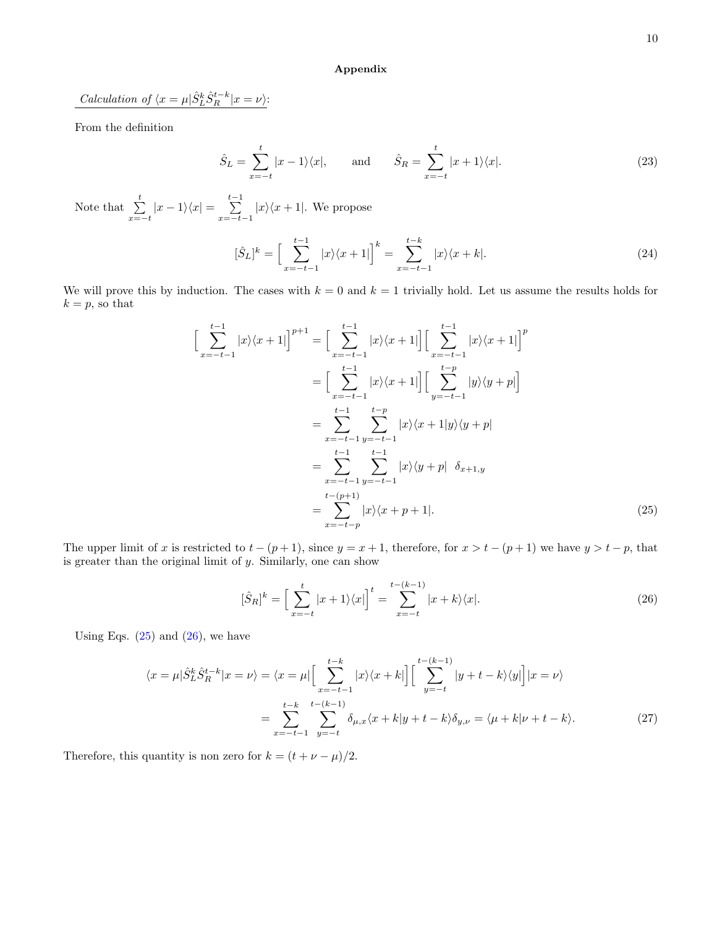# Appendix

*Calculation of*  $\langle x = \mu | \hat{S}_L^k \hat{S}_R^{t-k} | x = \nu \rangle$ :

From the definition

$$
\hat{S}_L = \sum_{x=-t}^t |x-1\rangle\langle x|, \quad \text{and} \quad \hat{S}_R = \sum_{x=-t}^t |x+1\rangle\langle x|.
$$
 (23)

Note that  $\sum_{x=-t}^{t} |x-1\rangle\langle x| = \sum_{x=-t}^{t-1}$  $\sum_{x=-t-1} |x\rangle\langle x+1|$ . We propose

$$
[\hat{S}_L]^k = \left[\sum_{x=-t-1}^{t-1} |x\rangle\langle x+1|\right]^k = \sum_{x=-t-1}^{t-k} |x\rangle\langle x+k|.
$$
 (24)

We will prove this by induction. The cases with  $k = 0$  and  $k = 1$  trivially hold. Let us assume the results holds for  $k = p$ , so that

$$
\left[\sum_{x=-t-1}^{t-1} |x\rangle\langle x+1|\right]^{p+1} = \left[\sum_{x=-t-1}^{t-1} |x\rangle\langle x+1|\right] \left[\sum_{x=-t-1}^{t-1} |x\rangle\langle x+1|\right]^p
$$
  
\n
$$
= \left[\sum_{x=-t-1}^{t-1} |x\rangle\langle x+1|\right] \left[\sum_{y=-t-1}^{t-p} |y\rangle\langle y+p|\right]
$$
  
\n
$$
= \sum_{x=-t-1}^{t-1} \sum_{y=-t-1}^{t-p} |x\rangle\langle x+1|y\rangle\langle y+p|
$$
  
\n
$$
= \sum_{x=-t-1}^{t-1} \sum_{y=-t-1}^{t-1} |x\rangle\langle y+p| \delta_{x+1,y}
$$
  
\n
$$
= \sum_{x=-t-p}^{t-(p+1)} |x\rangle\langle x+p+1|.
$$
 (25)

The upper limit of x is restricted to  $t - (p + 1)$ , since  $y = x + 1$ , therefore, for  $x > t - (p + 1)$  we have  $y > t - p$ , that is greater than the original limit of  $y$ . Similarly, one can show

$$
[\hat{S}_R]^k = \left[\sum_{x=-t}^t |x+1\rangle\langle x|\right]^t = \sum_{x=-t}^{t-(k-1)} |x+k\rangle\langle x|.\tag{26}
$$

Using Eqs.  $(25)$  and  $(26)$ , we have

$$
\langle x = \mu | \hat{S}_L^k \hat{S}_R^{t-k} | x = \nu \rangle = \langle x = \mu | \left[ \sum_{x=-t-1}^{t-k} |x\rangle \langle x + k| \right] \left[ \sum_{y=-t}^{t-(k-1)} |y + t - k\rangle \langle y| \right] | x = \nu \rangle
$$

$$
= \sum_{x=-t-1}^{t-k} \sum_{y=-t}^{t-(k-1)} \delta_{\mu,x} \langle x + k | y + t - k \rangle \delta_{y,\nu} = \langle \mu + k | \nu + t - k \rangle. \tag{27}
$$

Therefore, this quantity is non zero for  $k = (t + \nu - \mu)/2$ .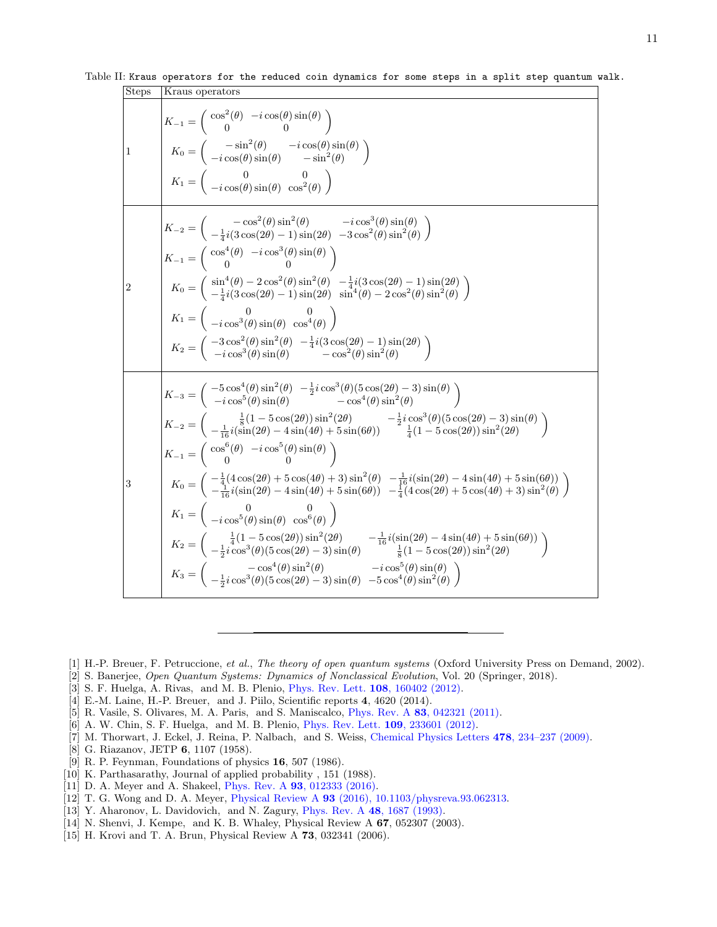| <b>Steps</b> | Kraus operators                                                                                                                                                                                                                                                                                                                                                                                                                                                                                                                                                                                                                                                                                                                                                                                                                                                                                                                                                                                                                                                                                                                                                                                                                                                                                                                                                                                                                                                                                   |
|--------------|---------------------------------------------------------------------------------------------------------------------------------------------------------------------------------------------------------------------------------------------------------------------------------------------------------------------------------------------------------------------------------------------------------------------------------------------------------------------------------------------------------------------------------------------------------------------------------------------------------------------------------------------------------------------------------------------------------------------------------------------------------------------------------------------------------------------------------------------------------------------------------------------------------------------------------------------------------------------------------------------------------------------------------------------------------------------------------------------------------------------------------------------------------------------------------------------------------------------------------------------------------------------------------------------------------------------------------------------------------------------------------------------------------------------------------------------------------------------------------------------------|
| 1            | $K_{-1} = \left( \begin{array}{cc} \cos^2(\theta) & -i\cos(\theta)\sin(\theta) \ 0 & 0 \end{array} \right)$<br>$K_0 = \begin{pmatrix} -\sin^2(\theta) & -i\cos(\theta)\sin(\theta) \\ -i\cos(\theta)\sin(\theta) & -\sin^2(\theta) \end{pmatrix}$<br>$K_1 = \left( \begin{array}{cc} 0 & 0 \\ -i\cos(\theta)\sin(\theta) & \cos^2(\theta) \end{array} \right)$                                                                                                                                                                                                                                                                                                                                                                                                                                                                                                                                                                                                                                                                                                                                                                                                                                                                                                                                                                                                                                                                                                                                    |
| 2            | $K_{-2} = \begin{pmatrix} -\cos^2(\theta)\sin^2(\theta) & -i\cos^3(\theta)\sin(\theta) \ -\frac{1}{4}i(3\cos(2\theta)-1)\sin(2\theta) & -3\cos^2(\theta)\sin^2(\theta) \end{pmatrix}$<br>$K_{-1} = \begin{pmatrix} \cos^4(\theta) & -i\cos^3(\theta)\sin(\theta) \\ 0 & 0 \end{pmatrix}$<br>$K_0 = \begin{pmatrix} \sin^4(\theta) - 2\cos^2(\theta)\sin^2(\theta) & -\frac{1}{4}i(3\cos(2\theta) - 1)\sin(2\theta) \\ -\frac{1}{4}i(3\cos(2\theta) - 1)\sin(2\theta) & \sin^4(\theta) - 2\cos^2(\theta)\sin^2(\theta) \end{pmatrix}$<br>$K_1 = \begin{pmatrix} 0 & 0 \\ -i\cos^3(\theta)\sin(\theta) & \cos^4(\theta) \end{pmatrix}$<br>$K_2 = \begin{pmatrix} -3\cos^2(\theta)\sin^2(\theta) & -\frac{1}{4}i(3\cos(2\theta) - 1)\sin(2\theta) \\ -i\cos^3(\theta)\sin(\theta) & -\cos^2(\theta)\sin^2(\theta) \end{pmatrix}$                                                                                                                                                                                                                                                                                                                                                                                                                                                                                                                                                                                                                                                                     |
| 3            | $\begin{pmatrix} K_{-3}=\left(\begin{array}{cc} -5\cos^4(\theta)\sin^2(\theta)&-\frac{1}{2}i\cos^3(\theta)(5\cos(2\theta)-3)\sin(\theta)\ -i\cos^5(\theta)\sin(\theta)&-\cos^4(\theta)\sin^2(\theta) \end{array}\right) \end{pmatrix}$<br>$K_{-2} = \begin{pmatrix} \frac{1}{8}(1-5\cos(2\theta))\sin^2(2\theta) & -\frac{1}{2}i\cos^3(\theta)(5\cos(2\theta)-3)\sin(\theta) \ -\frac{1}{16}i(\sin(2\theta)-4\sin(4\theta)+5\sin(6\theta)) & \frac{1}{4}(1-5\cos(2\theta))\sin^2(2\theta) \end{pmatrix}$<br>$K_{-1} = \begin{pmatrix} \cos^6(\theta) & -i\cos^5(\theta)\sin(\theta) \\ 0 & 0 \end{pmatrix}$<br>$K_0 = \begin{pmatrix} -\frac{1}{4}(4\cos(2\theta) + 5\cos(4\theta) + 3)\sin^2(\theta) & -\frac{1}{16}i(\sin(2\theta) - 4\sin(4\theta) + 5\sin(6\theta)) \\ -\frac{1}{16}i(\sin(2\theta) - 4\sin(4\theta) + 5\sin(6\theta)) & -\frac{1}{4}(4\cos(2\theta) + 5\cos(4\theta) + 3)\sin^2(\theta) \end{pmatrix}$<br>$K_1 = \begin{pmatrix} 0 & 0 \\ -i\cos^5(\theta)\sin(\theta) & \cos^6(\theta) \end{pmatrix}$<br>$K_2 = \begin{pmatrix} \frac{1}{4}(1-5\cos(2\theta))\sin^2(2\theta) & -\frac{1}{16}i(\sin(2\theta)-4\sin(4\theta)+5\sin(6\theta)) \\ -\frac{1}{2}i\cos^3(\theta)(5\cos(2\theta)-3)\sin(\theta) & \frac{1}{8}(1-5\cos(2\theta))\sin^2(2\theta) \end{pmatrix}$<br>$K_3 = \begin{pmatrix} -\cos^4(\theta)\sin^2(\theta) & -i\cos^5(\theta)\sin(\theta) \\ -\frac{1}{2}i\cos^3(\theta)(5\cos(2\theta) - 3)\sin(\theta) & -5\cos^4(\theta)\sin^2(\theta) \end{pmatrix}$ |

Table II: Kraus operators for the reduced coin dynamics for some steps in a split step quantum walk.

- [1] H.-P. Breuer, F. Petruccione, *et al.*, *The theory of open quantum systems* (Oxford University Press on Demand, 2002).
- [2] S. Banerjee, *Open Quantum Systems: Dynamics of Nonclassical Evolution*, Vol. 20 (Springer, 2018).
- [3] S. F. Huelga, A. Rivas, and M. B. Plenio, Phys. Rev. Lett. 108, 160402 (2012).
- [4] E.-M. Laine, H.-P. Breuer, and J. Piilo, Scientific reports 4, 4620 (2014).
- [5] R. Vasile, S. Olivares, M. A. Paris, and S. Maniscalco, Phys. Rev. A 83, 042321 (2011).
- [6] A. W. Chin, S. F. Huelga, and M. B. Plenio, Phys. Rev. Lett. 109, 233601 (2012).
- [7] M. Thorwart, J. Eckel, J. Reina, P. Nalbach, and S. Weiss, Chemical Physics Letters 478, 234–237 (2009).
- [8] G. Riazanov, JETP 6, 1107 (1958).
- [9] R. P. Feynman, Foundations of physics 16, 507 (1986).
- [10] K. Parthasarathy, Journal of applied probability, 151 (1988).
- [11] D. A. Meyer and A. Shakeel, Phys. Rev. A 93, 012333 (2016).
- [12] T. G. Wong and D. A. Meyer, Physical Review A 93 (2016), 10.1103/physreva.93.062313.
- [13] Y. Aharonov, L. Davidovich, and N. Zagury, Phys. Rev. A 48, 1687 (1993).
- [14] N. Shenvi, J. Kempe, and K. B. Whaley, Physical Review A 67, 052307 (2003).
- [15] H. Krovi and T. A. Brun, Physical Review A 73, 032341 (2006).